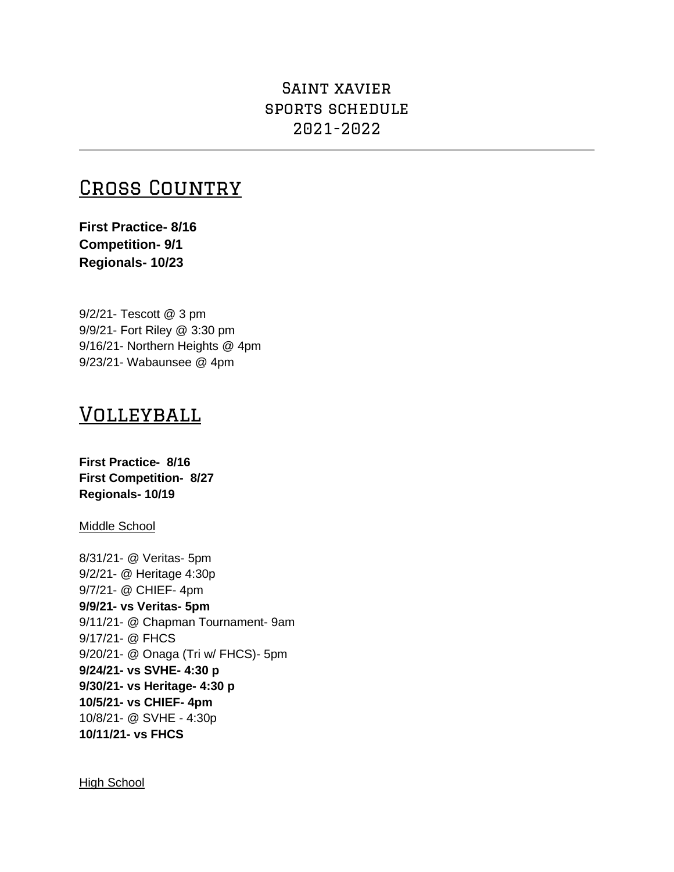## Saint xavier sports schedule 2021-2022

# Cross Country

**First Practice- 8/16 Competition- 9/1 Regionals- 10/23**

9/2/21- Tescott @ 3 pm 9/9/21- Fort Riley @ 3:30 pm 9/16/21- Northern Heights @ 4pm 9/23/21- Wabaunsee @ 4pm

## **VOLLEYBALL**

**First Practice- 8/16 First Competition- 8/27 Regionals- 10/19**

Middle School

8/31/21- @ Veritas- 5pm 9/2/21- @ Heritage 4:30p 9/7/21- @ CHIEF- 4pm **9/9/21- vs Veritas- 5pm** 9/11/21- @ Chapman Tournament- 9am 9/17/21- @ FHCS 9/20/21- @ Onaga (Tri w/ FHCS)- 5pm **9/24/21- vs SVHE- 4:30 p 9/30/21- vs Heritage- 4:30 p 10/5/21- vs CHIEF- 4pm** 10/8/21- @ SVHE - 4:30p **10/11/21- vs FHCS**

High School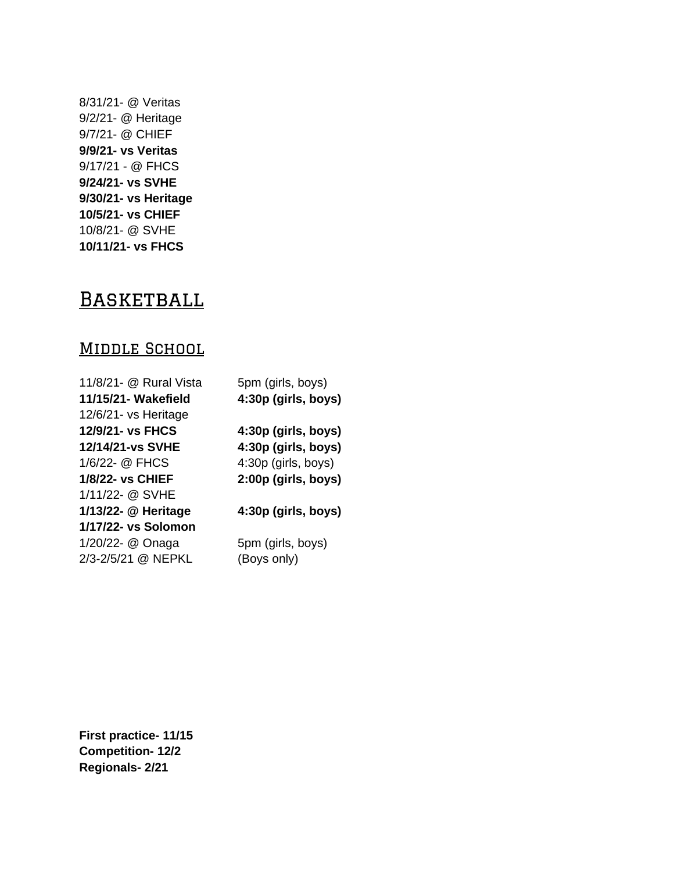8/31/21- @ Veritas 9/2/21- @ Heritage 9/7/21- @ CHIEF **9/9/21- vs Veritas** 9/17/21 - @ FHCS **9/24/21- vs SVHE 9/30/21- vs Heritage 10/5/21- vs CHIEF** 10/8/21- @ SVHE **10/11/21- vs FHCS**

# **BASKETBALL**

### MIDDLE SCHOOL

| 11/8/21- @ Rural Vista  | 5pm (girls, boys)   |
|-------------------------|---------------------|
| 11/15/21- Wakefield     | 4:30p (girls, boys) |
| 12/6/21- vs Heritage    |                     |
| 12/9/21- vs FHCS        | 4:30p (girls, boys) |
| 12/14/21-vs SVHE        | 4:30p (girls, boys) |
| 1/6/22- @ FHCS          | 4:30p (girls, boys) |
| <b>1/8/22- vs CHIEF</b> | 2:00p (girls, boys) |
| 1/11/22- @ SVHE         |                     |
| 1/13/22- @ Heritage     | 4:30p (girls, boys) |
| 1/17/22- vs Solomon     |                     |
| 1/20/22- @ Onaga        | 5pm (girls, boys)   |
| 2/3-2/5/21 @ NEPKL      | (Boys only)         |

**First practice- 11/15 Competition- 12/2 Regionals- 2/21**